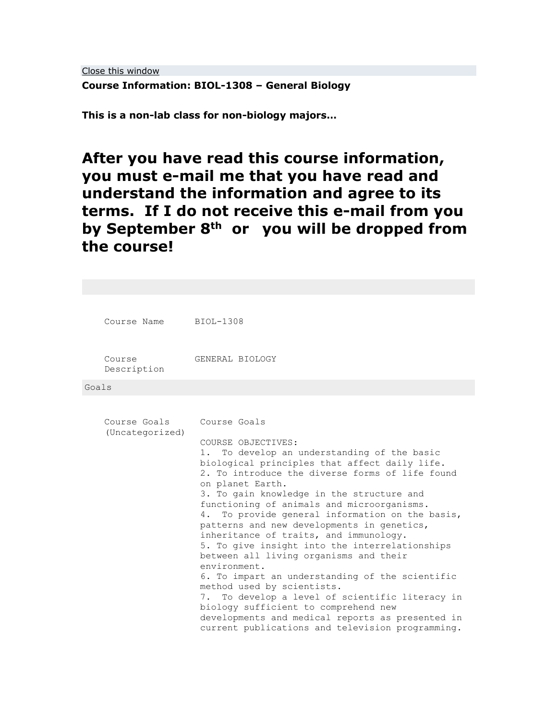[Close this window](javascript:window.close();)

**Course Information: BIOL-1308 – General Biology**

**This is a non-lab class for non-biology majors…**

**After you have read this course information, you must e-mail me that you have read and understand the information and agree to its terms. If I do not receive this e-mail from you by September 8th or you will be dropped from the course!**

| Course Name                     | BIOL-1308                                                                                                                                                                                                                                                                                                                                                                                                                                                                                                                                                                                                                                                                                                |
|---------------------------------|----------------------------------------------------------------------------------------------------------------------------------------------------------------------------------------------------------------------------------------------------------------------------------------------------------------------------------------------------------------------------------------------------------------------------------------------------------------------------------------------------------------------------------------------------------------------------------------------------------------------------------------------------------------------------------------------------------|
| Course<br>Description           | GENERAL BIOLOGY                                                                                                                                                                                                                                                                                                                                                                                                                                                                                                                                                                                                                                                                                          |
| Goals                           |                                                                                                                                                                                                                                                                                                                                                                                                                                                                                                                                                                                                                                                                                                          |
| Course Goals<br>(Uncategorized) | Course Goals<br>COURSE OBJECTIVES:<br>To develop an understanding of the basic<br>1.<br>biological principles that affect daily life.<br>2. To introduce the diverse forms of life found<br>on planet Earth.<br>3. To gain knowledge in the structure and<br>functioning of animals and microorganisms.<br>To provide general information on the basis,<br>4.<br>patterns and new developments in genetics,<br>inheritance of traits, and immunology.<br>5. To give insight into the interrelationships<br>between all living organisms and their<br>environment.<br>6. To impart an understanding of the scientific<br>method used by scientists.<br>To develop a level of scientific literacy in<br>7. |
|                                 | biology sufficient to comprehend new<br>developments and medical reports as presented in<br>current publications and television programming.                                                                                                                                                                                                                                                                                                                                                                                                                                                                                                                                                             |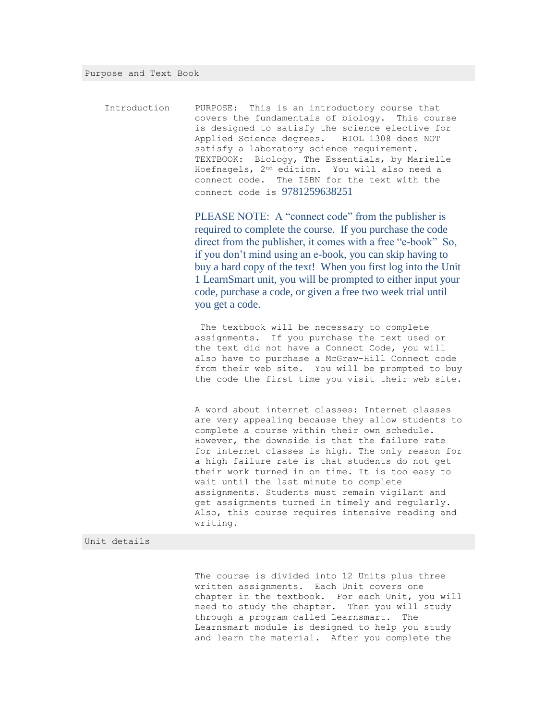Introduction PURPOSE: This is an introductory course that covers the fundamentals of biology. This course is designed to satisfy the science elective for Applied Science degrees. BIOL 1308 does NOT satisfy a laboratory science requirement. TEXTBOOK: Biology, The Essentials, by Marielle Hoefnagels, 2nd edition. You will also need a connect code. The ISBN for the text with the connect code is 9781259638251

> PLEASE NOTE: A "connect code" from the publisher is required to complete the course. If you purchase the code direct from the publisher, it comes with a free "e-book" So, if you don't mind using an e-book, you can skip having to buy a hard copy of the text! When you first log into the Unit 1 LearnSmart unit, you will be prompted to either input your code, purchase a code, or given a free two week trial until you get a code.

> The textbook will be necessary to complete assignments. If you purchase the text used or the text did not have a Connect Code, you will also have to purchase a McGraw-Hill Connect code from their web site. You will be prompted to buy the code the first time you visit their web site.

> A word about internet classes: Internet classes are very appealing because they allow students to complete a course within their own schedule. However, the downside is that the failure rate for internet classes is high. The only reason for a high failure rate is that students do not get their work turned in on time. It is too easy to wait until the last minute to complete assignments. Students must remain vigilant and get assignments turned in timely and regularly. Also, this course requires intensive reading and writing.

### Unit details

The course is divided into 12 Units plus three written assignments. Each Unit covers one chapter in the textbook. For each Unit, you will need to study the chapter. Then you will study through a program called Learnsmart. The Learnsmart module is designed to help you study and learn the material. After you complete the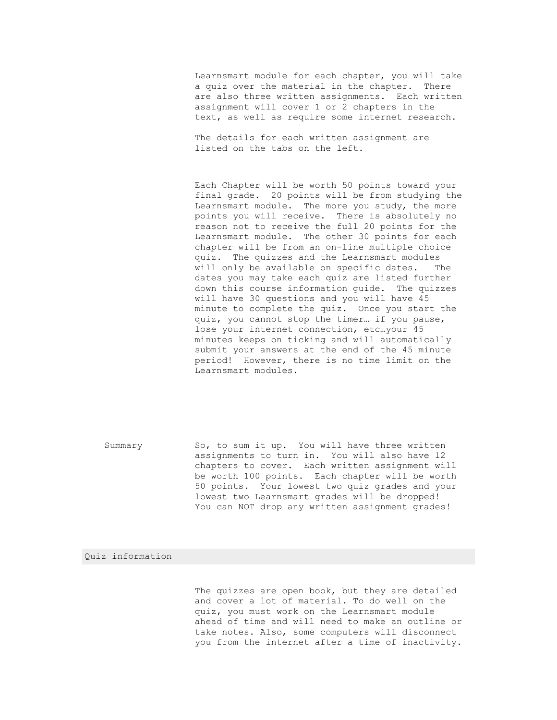Learnsmart module for each chapter, you will take a quiz over the material in the chapter. There are also three written assignments. Each written assignment will cover 1 or 2 chapters in the text, as well as require some internet research.

The details for each written assignment are listed on the tabs on the left.

Each Chapter will be worth 50 points toward your final grade. 20 points will be from studying the Learnsmart module. The more you study, the more points you will receive. There is absolutely no reason not to receive the full 20 points for the Learnsmart module. The other 30 points for each chapter will be from an on-line multiple choice quiz. The quizzes and the Learnsmart modules will only be available on specific dates. The dates you may take each quiz are listed further down this course information guide. The quizzes will have 30 questions and you will have 45 minute to complete the quiz. Once you start the quiz, you cannot stop the timer… if you pause, lose your internet connection, etc…your 45 minutes keeps on ticking and will automatically submit your answers at the end of the 45 minute period! However, there is no time limit on the Learnsmart modules.

Summary So, to sum it up. You will have three written assignments to turn in. You will also have 12 chapters to cover. Each written assignment will be worth 100 points. Each chapter will be worth 50 points. Your lowest two quiz grades and your lowest two Learnsmart grades will be dropped! You can NOT drop any written assignment grades!

## Quiz information

The quizzes are open book, but they are detailed and cover a lot of material. To do well on the quiz, you must work on the Learnsmart module ahead of time and will need to make an outline or take notes. Also, some computers will disconnect you from the internet after a time of inactivity.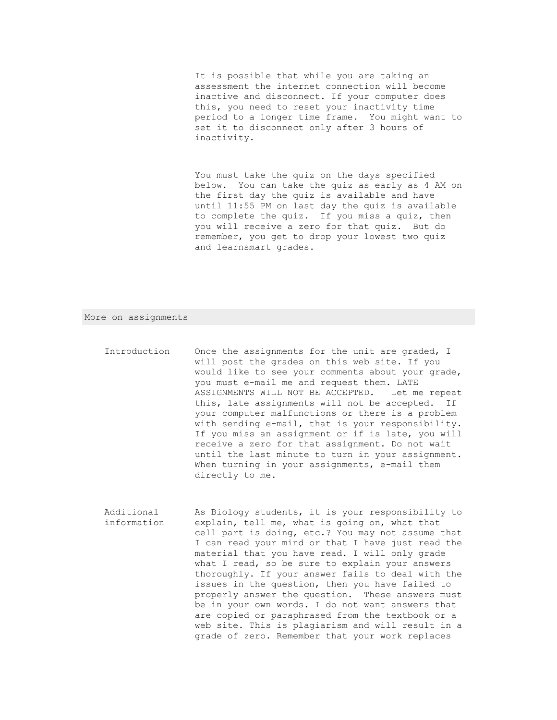It is possible that while you are taking an assessment the internet connection will become inactive and disconnect. If your computer does this, you need to reset your inactivity time period to a longer time frame. You might want to set it to disconnect only after 3 hours of inactivity.

You must take the quiz on the days specified below. You can take the quiz as early as 4 AM on the first day the quiz is available and have until 11:55 PM on last day the quiz is available to complete the quiz. If you miss a quiz, then you will receive a zero for that quiz. But do remember, you get to drop your lowest two quiz and learnsmart grades.

#### More on assignments

- Introduction Once the assignments for the unit are graded, I will post the grades on this web site. If you would like to see your comments about your grade, you must e-mail me and request them. LATE ASSIGNMENTS WILL NOT BE ACCEPTED. Let me repeat this, late assignments will not be accepted. If your computer malfunctions or there is a problem with sending e-mail, that is your responsibility. If you miss an assignment or if is late, you will receive a zero for that assignment. Do not wait until the last minute to turn in your assignment. When turning in your assignments, e-mail them directly to me.
- Additional information As Biology students, it is your responsibility to explain, tell me, what is going on, what that cell part is doing, etc.? You may not assume that I can read your mind or that I have just read the material that you have read. I will only grade what I read, so be sure to explain your answers thoroughly. If your answer fails to deal with the issues in the question, then you have failed to properly answer the question. These answers must be in your own words. I do not want answers that are copied or paraphrased from the textbook or a web site. This is plagiarism and will result in a grade of zero. Remember that your work replaces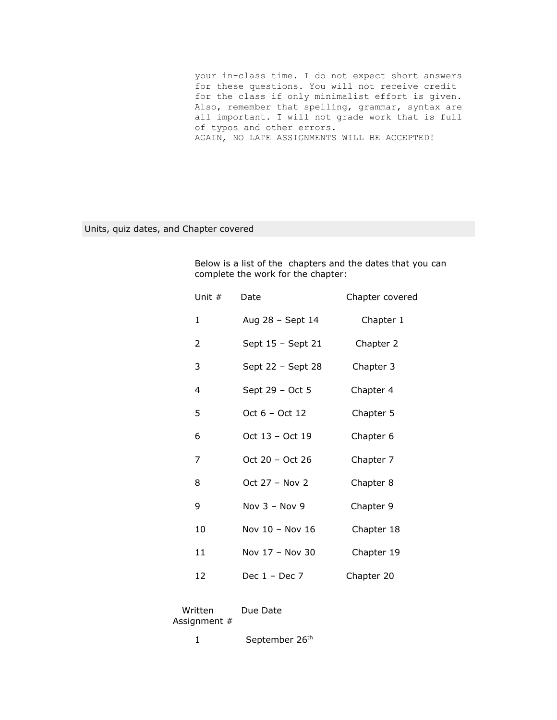your in-class time. I do not expect short answers for these questions. You will not receive credit for the class if only minimalist effort is given. Also, remember that spelling, grammar, syntax are all important. I will not grade work that is full of typos and other errors. AGAIN, NO LATE ASSIGNMENTS WILL BE ACCEPTED!

# Units, quiz dates, and Chapter covered

Below is a list of the chapters and the dates that you can complete the work for the chapter:

| Unit # | Date              | Chapter covered |
|--------|-------------------|-----------------|
| 1      | Aug 28 - Sept 14  | Chapter 1       |
| 2      | Sept 15 - Sept 21 | Chapter 2       |
| 3      | Sept 22 - Sept 28 | Chapter 3       |
| 4      | Sept 29 - Oct 5   | Chapter 4       |
| 5      | $Oct 6 - Oct 12$  | Chapter 5       |
| 6      | Oct 13 - Oct 19   | Chapter 6       |
| 7      | Oct 20 - Oct 26   | Chapter 7       |
| 8      | Oct 27 - Nov 2    | Chapter 8       |
| 9      | Nov $3 -$ Nov 9   | Chapter 9       |
| 10     | Nov 10 - Nov 16   | Chapter 18      |
| 11     | Nov $17 -$ Nov 30 | Chapter 19      |
| 12     | Dec $1 -$ Dec 7   | Chapter 20      |

Written Due Date Assignment #

1 September 26<sup>th</sup>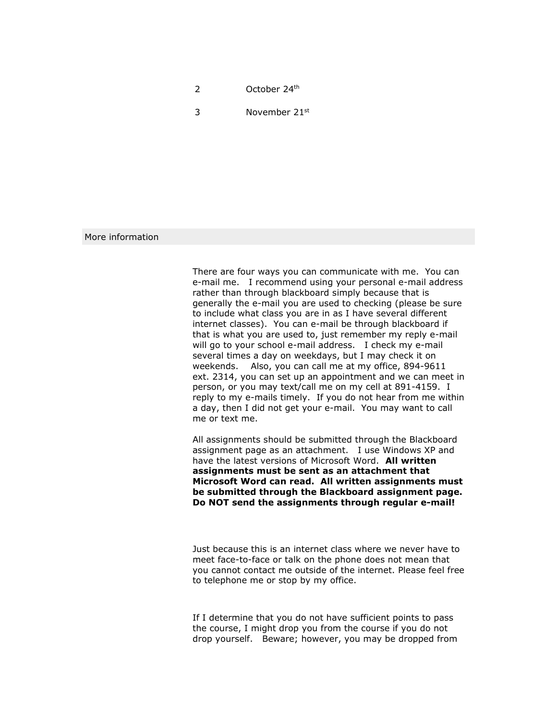2 October 24<sup>th</sup>

3 November  $21<sup>st</sup>$ 

## More information

There are four ways you can communicate with me. You can e-mail me. I recommend using your personal e-mail address rather than through blackboard simply because that is generally the e-mail you are used to checking (please be sure to include what class you are in as I have several different internet classes). You can e-mail be through blackboard if that is what you are used to, just remember my reply e-mail will go to your school e-mail address. I check my e-mail several times a day on weekdays, but I may check it on weekends. Also, you can call me at my office, 894-9611 ext. 2314, you can set up an appointment and we can meet in person, or you may text/call me on my cell at 891-4159. I reply to my e-mails timely. If you do not hear from me within a day, then I did not get your e-mail. You may want to call me or text me.

All assignments should be submitted through the Blackboard assignment page as an attachment. I use Windows XP and have the latest versions of Microsoft Word. **All written assignments must be sent as an attachment that Microsoft Word can read. All written assignments must be submitted through the Blackboard assignment page. Do NOT send the assignments through regular e-mail!** 

Just because this is an internet class where we never have to meet face-to-face or talk on the phone does not mean that you cannot contact me outside of the internet. Please feel free to telephone me or stop by my office.

If I determine that you do not have sufficient points to pass the course, I might drop you from the course if you do not drop yourself. Beware; however, you may be dropped from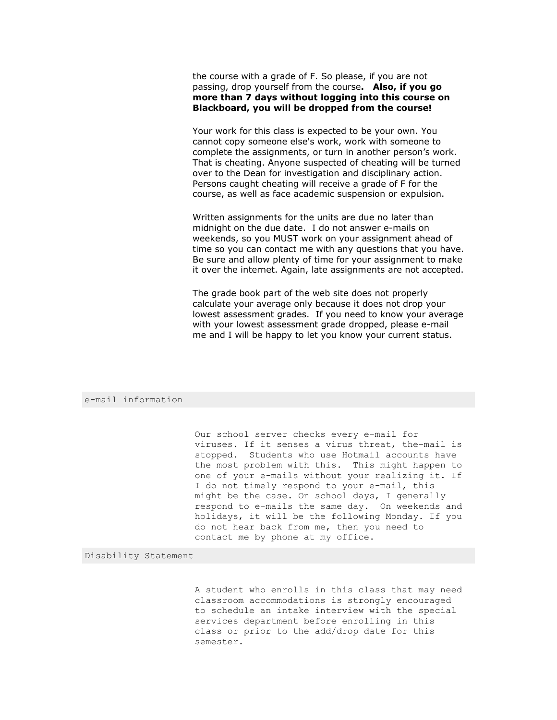the course with a grade of F. So please, if you are not passing, drop yourself from the course**. Also, if you go more than 7 days without logging into this course on Blackboard, you will be dropped from the course!**

Your work for this class is expected to be your own. You cannot copy someone else's work, work with someone to complete the assignments, or turn in another person's work. That is cheating. Anyone suspected of cheating will be turned over to the Dean for investigation and disciplinary action. Persons caught cheating will receive a grade of F for the course, as well as face academic suspension or expulsion.

Written assignments for the units are due no later than midnight on the due date. I do not answer e-mails on weekends, so you MUST work on your assignment ahead of time so you can contact me with any questions that you have. Be sure and allow plenty of time for your assignment to make it over the internet. Again, late assignments are not accepted.

The grade book part of the web site does not properly calculate your average only because it does not drop your lowest assessment grades. If you need to know your average with your lowest assessment grade dropped, please e-mail me and I will be happy to let you know your current status.

### e-mail information

Our school server checks every e-mail for viruses. If it senses a virus threat, the-mail is stopped. Students who use Hotmail accounts have the most problem with this. This might happen to one of your e-mails without your realizing it. If I do not timely respond to your e-mail, this might be the case. On school days, I generally respond to e-mails the same day. On weekends and holidays, it will be the following Monday. If you do not hear back from me, then you need to contact me by phone at my office.

Disability Statement

A student who enrolls in this class that may need classroom accommodations is strongly encouraged to schedule an intake interview with the special services department before enrolling in this class or prior to the add/drop date for this semester.